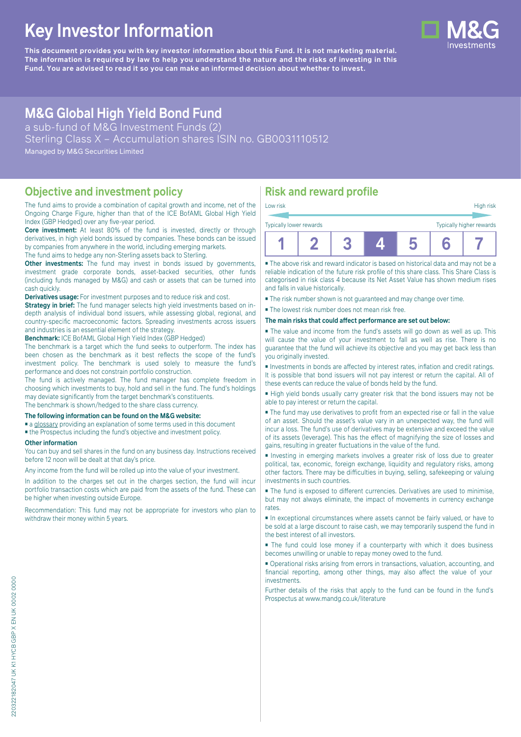# **Key Investor Information**

**This document provides you with key investor information about this Fund. It is not marketing material.** The information is required by law to help you understand the nature and the risks of investing in this **Fund. You are advised to read it so you can make an informed decision about whether to invest.**

# **M&G Global High Yield Bond Fund**

a sub-fund of M&G Investment Funds (2)

Sterling Class X – Accumulation shares ISIN no. GB0031110512

Managed by M&G Securities Limited

### **Objective and investment policy**

The fund aims to provide a combination of capital growth and income, net of the Ongoing Charge Figure, higher than that of the ICE BofAML Global High Yield Index (GBP Hedged) over any five-year period.

**Core investment:** At least 80% of the fund is invested, directly or through derivatives, in high yield bonds issued by companies. These bonds can be issued by companies from anywhere in the world, including emerging markets.

The fund aims to hedge any non-Sterling assets back to Sterling.

**Other investments:** The fund may invest in bonds issued by governments, investment grade corporate bonds, asset-backed securities, other funds (including funds managed by M&G) and cash or assets that can be turned into cash quickly.

**Derivatives usage:** For investment purposes and to reduce risk and cost.

**Strategy in brief:** The fund manager selects high yield investments based on indepth analysis of individual bond issuers, while assessing global, regional, and country-specific macroeconomic factors. Spreading investments across issuers and industries is an essential element of the strategy.

**Benchmark:** ICE BofAML Global High Yield Index (GBP Hedged)

The benchmark is a target which the fund seeks to outperform. The index has been chosen as the benchmark as it best reflects the scope of the fund's investment policy. The benchmark is used solely to measure the fund's performance and does not constrain portfolio construction.

The fund is actively managed. The fund manager has complete freedom in choosing which investments to buy, hold and sell in the fund. The fund's holdings may deviate significantly from the target benchmark's constituents.

The benchmark is shown/hedged to the share class currency.

#### **The following information can be found on the M&G website:**

■ [a glossary](https://docs.mandg.com/docs/glossary-master-en.pdf) providing an explanation of some terms used in this document

■ the Prospectus including the fund's objective and investment policy.

#### **Other information**

You can buy and sell shares in the fund on any business day. Instructions received before 12 noon will be dealt at that day's price.

Any income from the fund will be rolled up into the value of your investment.

In addition to the charges set out in the charges section, the fund will incur portfolio transaction costs which are paid from the assets of the fund. These can be higher when investing outside Europe.

Recommendation: This fund may not be appropriate for investors who plan to withdraw their money within 5 years.

# **Risk and reward profile**

| Low risk                |  |  |  |                          | High risk |  |  |
|-------------------------|--|--|--|--------------------------|-----------|--|--|
| Typically lower rewards |  |  |  | Typically higher rewards |           |  |  |
|                         |  |  |  |                          |           |  |  |

■ The above risk and reward indicator is based on historical data and may not be a reliable indication of the future risk profile of this share class. This Share Class is categorised in risk class 4 because its Net Asset Value has shown medium rises and falls in value historically.

■ The risk number shown is not guaranteed and may change over time.

■ The lowest risk number does not mean risk free.

#### **The main risks that could affect performance are set out below:**

■ The value and income from the fund's assets will go down as well as up. This will cause the value of your investment to fall as well as rise. There is no guarantee that the fund will achieve its objective and you may get back less than you originally invested.

■ Investments in bonds are affected by interest rates, inflation and credit ratings. It is possible that bond issuers will not pay interest or return the capital. All of these events can reduce the value of bonds held by the fund.

■ High yield bonds usually carry greater risk that the bond issuers may not be able to pay interest or return the capital.

■ The fund may use derivatives to profit from an expected rise or fall in the value of an asset. Should the asset's value vary in an unexpected way, the fund will incur a loss. The fund's use of derivatives may be extensive and exceed the value of its assets (leverage). This has the effect of magnifying the size of losses and gains, resulting in greater fluctuations in the value of the fund.

■ Investing in emerging markets involves a greater risk of loss due to greater political, tax, economic, foreign exchange, liquidity and regulatory risks, among other factors. There may be difficulties in buying, selling, safekeeping or valuing investments in such countries.

■ The fund is exposed to different currencies. Derivatives are used to minimise, but may not always eliminate, the impact of movements in currency exchange rates.

■ In exceptional circumstances where assets cannot be fairly valued, or have to be sold at a large discount to raise cash, we may temporarily suspend the fund in the best interest of all investors.

■ The fund could lose money if a counterparty with which it does business becomes unwilling or unable to repay money owed to the fund.

■ Operational risks arising from errors in transactions, valuation, accounting, and financial reporting, among other things, may also affect the value of your investments.

Further details of the risks that apply to the fund can be found in the fund's Prospectus at [www.mandg.co.uk/literature](http://www.mandg.co.uk/literature)